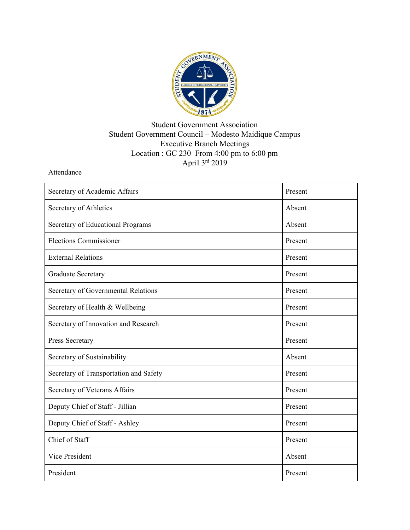

## Student Government Association Student Government Council – Modesto Maidique Campus Executive Branch Meetings Location : GC 230 From 4:00 pm to 6:00 pm April 3rd 2019

Attendance

| Secretary of Academic Affairs          | Present |
|----------------------------------------|---------|
| Secretary of Athletics                 | Absent  |
| Secretary of Educational Programs      | Absent  |
| <b>Elections Commissioner</b>          | Present |
| <b>External Relations</b>              | Present |
| <b>Graduate Secretary</b>              | Present |
| Secretary of Governmental Relations    | Present |
| Secretary of Health & Wellbeing        | Present |
| Secretary of Innovation and Research   | Present |
| Press Secretary                        | Present |
| Secretary of Sustainability            | Absent  |
| Secretary of Transportation and Safety | Present |
| Secretary of Veterans Affairs          | Present |
| Deputy Chief of Staff - Jillian        | Present |
| Deputy Chief of Staff - Ashley         | Present |
| Chief of Staff                         | Present |
| Vice President                         | Absent  |
| President                              | Present |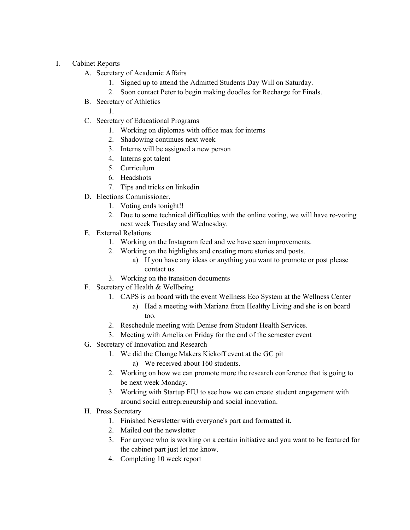- I. Cabinet Reports
	- A. Secretary of Academic Affairs
		- 1. Signed up to attend the Admitted Students Day Will on Saturday.
		- 2. Soon contact Peter to begin making doodles for Recharge for Finals.
	- B. Secretary of Athletics

1.

- C. Secretary of Educational Programs
	- 1. Working on diplomas with office max for interns
	- 2. Shadowing continues next week
	- 3. Interns will be assigned a new person
	- 4. Interns got talent
	- 5. Curriculum
	- 6. Headshots
	- 7. Tips and tricks on linkedin
- D. Elections Commissioner.
	- 1. Voting ends tonight!!
	- 2. Due to some technical difficulties with the online voting, we will have re-voting next week Tuesday and Wednesday.
- E. External Relations
	- 1. Working on the Instagram feed and we have seen improvements.
	- 2. Working on the highlights and creating more stories and posts.
		- a) If you have any ideas or anything you want to promote or post please contact us.
	- 3. Working on the transition documents
- F. Secretary of Health & Wellbeing
	- 1. CAPS is on board with the event Wellness Eco System at the Wellness Center
		- a) Had a meeting with Mariana from Healthy Living and she is on board too.
	- 2. Reschedule meeting with Denise from Student Health Services.
	- 3. Meeting with Amelia on Friday for the end of the semester event
- G. Secretary of Innovation and Research
	- 1. We did the Change Makers Kickoff event at the GC pit
		- a) We received about 160 students.
	- 2. Working on how we can promote more the research conference that is going to be next week Monday.
	- 3. Working with Startup FIU to see how we can create student engagement with around social entrepreneurship and social innovation.
- H. Press Secretary
	- 1. Finished Newsletter with everyone's part and formatted it.
	- 2. Mailed out the newsletter
	- 3. For anyone who is working on a certain initiative and you want to be featured for the cabinet part just let me know.
	- 4. Completing 10 week report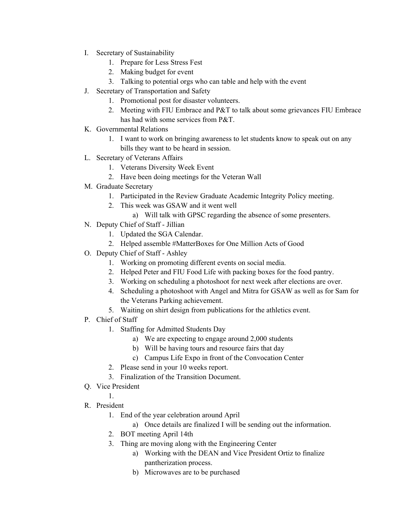- I. Secretary of Sustainability
	- 1. Prepare for Less Stress Fest
	- 2. Making budget for event
	- 3. Talking to potential orgs who can table and help with the event
- J. Secretary of Transportation and Safety
	- 1. Promotional post for disaster volunteers.
	- 2. Meeting with FIU Embrace and P&T to talk about some grievances FIU Embrace has had with some services from P&T.
- K. Governmental Relations
	- 1. I want to work on bringing awareness to let students know to speak out on any bills they want to be heard in session.
- L. Secretary of Veterans Affairs
	- 1. Veterans Diversity Week Event
	- 2. Have been doing meetings for the Veteran Wall
- M. Graduate Secretary
	- 1. Participated in the Review Graduate Academic Integrity Policy meeting.
	- 2. This week was GSAW and it went well
		- a) Will talk with GPSC regarding the absence of some presenters.
- N. Deputy Chief of Staff Jillian
	- 1. Updated the SGA Calendar.
	- 2. Helped assemble #MatterBoxes for One Million Acts of Good
- O. Deputy Chief of Staff Ashley
	- 1. Working on promoting different events on social media.
	- 2. Helped Peter and FIU Food Life with packing boxes for the food pantry.
	- 3. Working on scheduling a photoshoot for next week after elections are over.
	- 4. Scheduling a photoshoot with Angel and Mitra for GSAW as well as for Sam for the Veterans Parking achievement.
	- 5. Waiting on shirt design from publications for the athletics event.
- P. Chief of Staff
	- 1. Staffing for Admitted Students Day
		- a) We are expecting to engage around 2,000 students
		- b) Will be having tours and resource fairs that day
		- c) Campus Life Expo in front of the Convocation Center
	- 2. Please send in your 10 weeks report.
	- 3. Finalization of the Transition Document.
- Q. Vice President
- 1. R. President
	- 1. End of the year celebration around April
		- a) Once details are finalized I will be sending out the information.
		- 2. BOT meeting April 14th
		- 3. Thing are moving along with the Engineering Center
			- a) Working with the DEAN and Vice President Ortiz to finalize pantherization process.
			- b) Microwaves are to be purchased